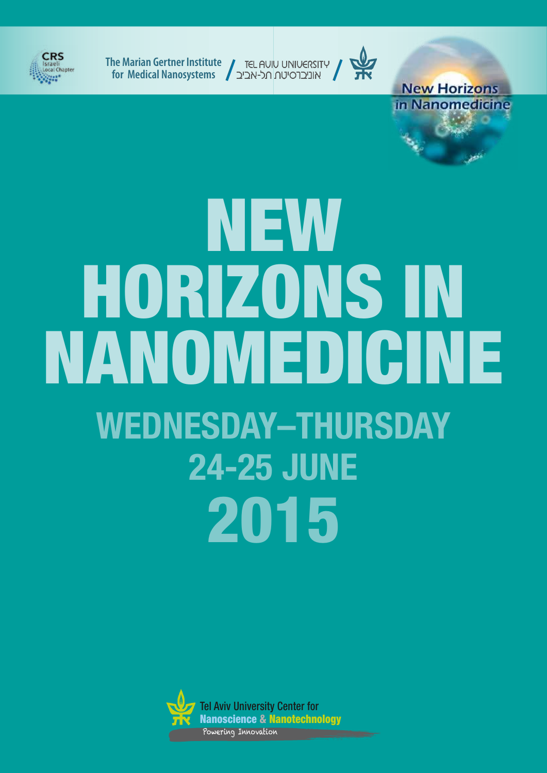

**The Marian Gertner Institute for Medical Nanosystems**



**New Horizons** in Nanomedicine

NEW HORIZONS IN NANOMEDICINE WEDNESDAY–THURSDAY 24-25 JUNE 2015

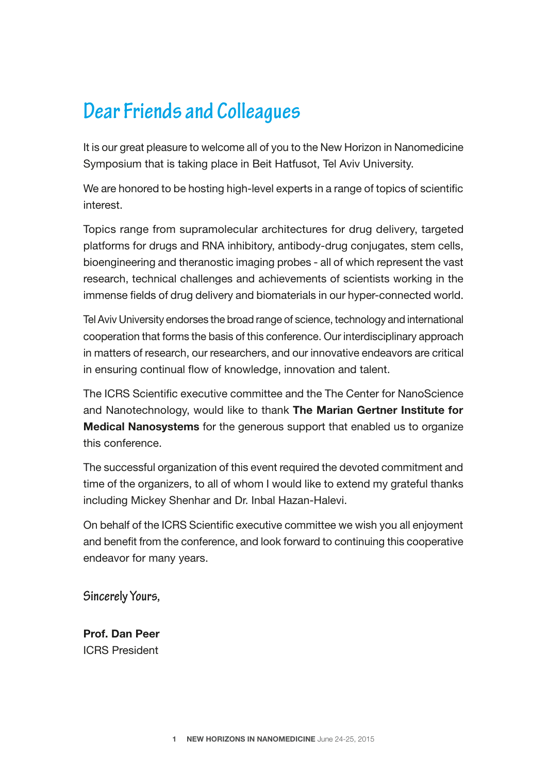# **Dear Friends and Colleagues**

It is our great pleasure to welcome all of you to the New Horizon in Nanomedicine Symposium that is taking place in Beit Hatfusot, Tel Aviv University.

We are honored to be hosting high-level experts in a range of topics of scientific interest.

Topics range from supramolecular architectures for drug delivery, targeted platforms for drugs and RNA inhibitory, antibody-drug conjugates, stem cells, bioengineering and theranostic imaging probes - all of which represent the vast research, technical challenges and achievements of scientists working in the immense fields of drug delivery and biomaterials in our hyper-connected world.

Tel Aviv University endorses the broad range of science, technology and international cooperation that forms the basis of this conference. Our interdisciplinary approach in matters of research, our researchers, and our innovative endeavors are critical in ensuring continual flow of knowledge, innovation and talent.

The ICRS Scientific executive committee and the The Center for NanoScience and Nanotechnology, would like to thank The Marian Gertner Institute for Medical Nanosystems for the generous support that enabled us to organize this conference.

The successful organization of this event required the devoted commitment and time of the organizers, to all of whom I would like to extend my grateful thanks including Mickey Shenhar and Dr. Inbal Hazan-Halevi.

On behalf of the ICRS Scientific executive committee we wish you all enjoyment and benefit from the conference, and look forward to continuing this cooperative endeavor for many years.

**Sincerely Yours,**

Prof. Dan Peer ICRS President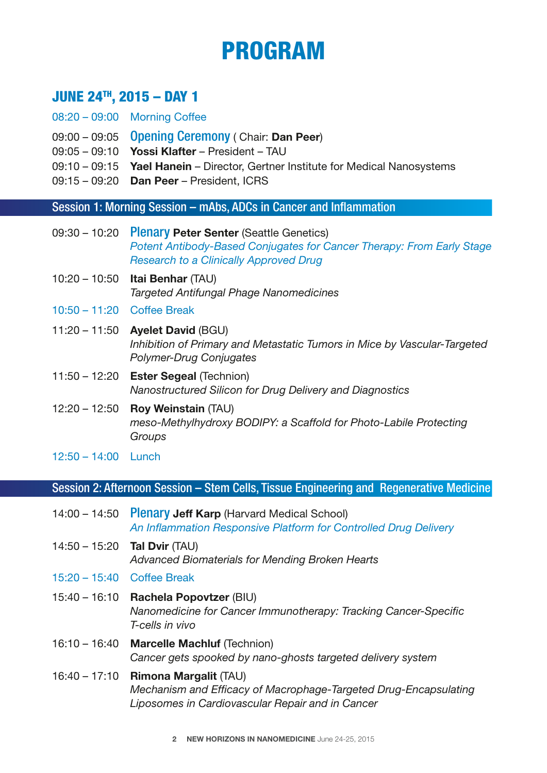# PROGRAM

### $JUNE 24<sup>TH</sup>$ , 2015 – DAY 1

| 08:20 - 09:00 Morning Coffee                                                    |
|---------------------------------------------------------------------------------|
| 09:00 - 09:05 Opening Ceremony (Chair: Dan Peer)                                |
| 09:05 - 09:10 Yossi Klafter - President - TAU                                   |
| 09:10 - 09:15 Yael Hanein - Director, Gertner Institute for Medical Nanosystems |
| $09:15 - 09:20$ Dan Peer – President, ICRS                                      |
|                                                                                 |

#### Session 1: Morning Session – mAbs, ADCs in Cancer and Inflammation

- 09:30 10:20 Plenary Peter Senter (Seattle Genetics) Potent Antibody-Based Conjugates for Cancer Therapy: From Early Stage Research to a Clinically Approved Drug
- 10:20 10:50 Itai Benhar (TAU) Targeted Antifungal Phage Nanomedicines
- 10:50 11:20 Coffee Break
- 11:20 11:50 Ayelet David (BGU) Inhibition of Primary and Metastatic Tumors in Mice by Vascular-Targeted Polymer-Drug Conjugates
- 11:50 12:20 Ester Segeal (Technion) Nanostructured Silicon for Drug Delivery and Diagnostics
- 12:20 12:50 Roy Weinstain (TAU) meso-Methylhydroxy BODIPY: a Scaffold for Photo-Labile Protecting **Groups**
- 12:50 14:00 Lunch

#### Session 2: Afternoon Session – Stem Cells, Tissue Engineering and Regenerative Medicine

- 14:00 14:50 Plenary Jeff Karp (Harvard Medical School) An Inflammation Responsive Platform for Controlled Drug Delivery
- 14:50 15:20 Tal Dvir (TAU) Advanced Biomaterials for Mending Broken Hearts
- 15:20 15:40 Coffee Break
- 15:40 16:10 Rachela Popovtzer (BIU) Nanomedicine for Cancer Immunotherapy: Tracking Cancer-Specific T-cells in vivo
- 16:10 16:40 Marcelle Machluf (Technion) Cancer gets spooked by nano-ghosts targeted delivery system
- 16:40 17:10 Rimona Margalit (TAU) Mechanism and Efficacy of Macrophage-Targeted Drug-Encapsulating Liposomes in Cardiovascular Repair and in Cancer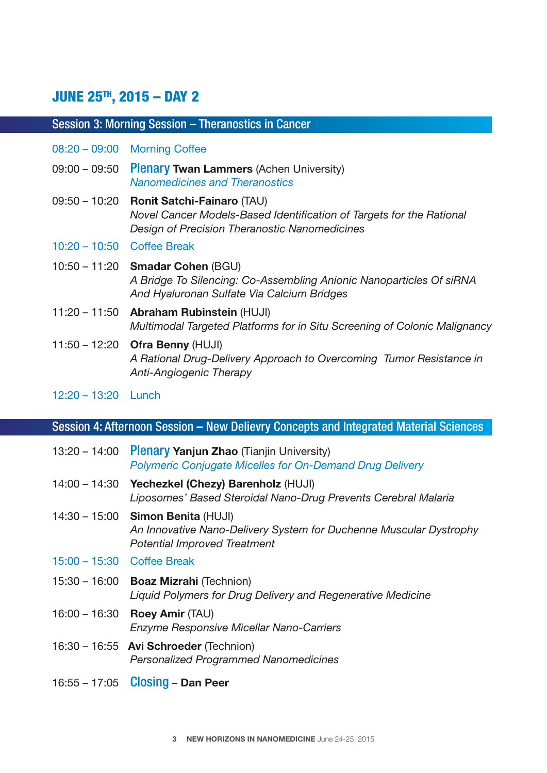### $JUNE 25<sup>TH</sup>$ , 2015 – DAY 2

#### Session 3: Morning Session – Theranostics in Cancer

|  | 08:20 - 09:00 Morning Coffee |
|--|------------------------------|
|--|------------------------------|

- 09:00 09:50 Plenary Twan Lammers (Achen University) Nanomedicines and Theranostics
- 09:50 10:20 Ronit Satchi-Fainaro (TAU) Novel Cancer Models-Based Identification of Targets for the Rational Design of Precision Theranostic Nanomedicines
- 10:20 10:50 Coffee Break
- 10:50 11:20 Smadar Cohen (BGU) A Bridge To Silencing: Co-Assembling Anionic Nanoparticles Of siRNA And Hyaluronan Sulfate Via Calcium Bridges
- 11:20 11:50 Abraham Rubinstein (HUJI) Multimodal Targeted Platforms for in Situ Screening of Colonic Malignancy
- 11:50 12:20 Ofra Benny (HUJI) A Rational Drug-Delivery Approach to Overcoming Tumor Resistance in Anti-Angiogenic Therapy
- 12:20 13:20 Lunch

#### Session 4: Afternoon Session – New Delievry Concepts and Integrated Material Sciences

- 13:20 14:00 Plenary Yanjun Zhao (Tianjin University) Polymeric Conjugate Micelles for On-Demand Drug Delivery
- 14:00 14:30 Yechezkel (Chezy) Barenholz (HUJI) Liposomes' Based Steroidal Nano-Drug Prevents Cerebral Malaria
- 14:30 15:00 Simon Benita (HUJI) An Innovative Nano-Delivery System for Duchenne Muscular Dystrophy Potential Improved Treatment
- 15:00 15:30 Coffee Break
- 15:30 16:00 Boaz Mizrahi (Technion) Liquid Polymers for Drug Delivery and Regenerative Medicine
- 16:00 16:30 Roey Amir (TAU) Enzyme Responsive Micellar Nano-Carriers
- 16:30 16:55 Avi Schroeder (Technion) Personalized Programmed Nanomedicines
- 16:55 17:05 Closing Dan Peer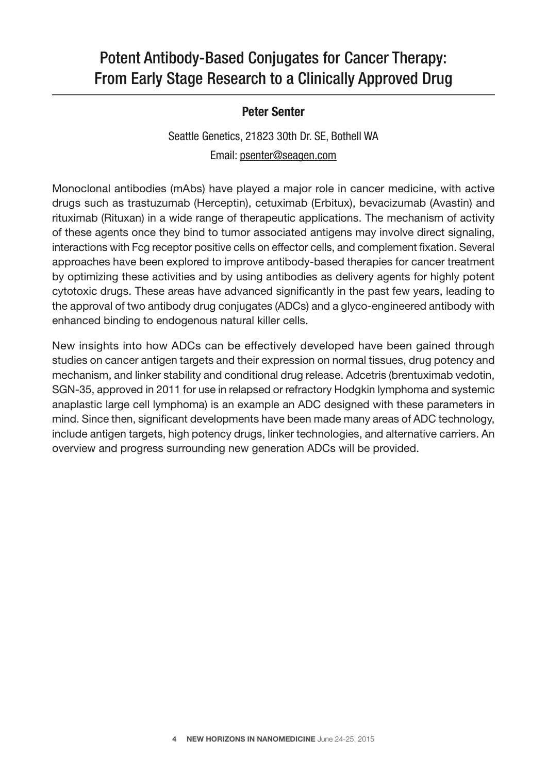# Potent Antibody-Based Conjugates for Cancer Therapy: From Early Stage Research to a Clinically Approved Drug

### Peter Senter

Seattle Genetics, 21823 30th Dr. SE, Bothell WA Email: psenter@seagen.com

Monoclonal antibodies (mAbs) have played a major role in cancer medicine, with active drugs such as trastuzumab (Herceptin), cetuximab (Erbitux), bevacizumab (Avastin) and rituximab (Rituxan) in a wide range of therapeutic applications. The mechanism of activity of these agents once they bind to tumor associated antigens may involve direct signaling, interactions with Fcg receptor positive cells on effector cells, and complement fixation. Several approaches have been explored to improve antibody-based therapies for cancer treatment by optimizing these activities and by using antibodies as delivery agents for highly potent cytotoxic drugs. These areas have advanced significantly in the past few years, leading to the approval of two antibody drug conjugates (ADCs) and a glyco-engineered antibody with enhanced binding to endogenous natural killer cells.

New insights into how ADCs can be effectively developed have been gained through studies on cancer antigen targets and their expression on normal tissues, drug potency and mechanism, and linker stability and conditional drug release. Adcetris (brentuximab vedotin, SGN-35, approved in 2011 for use in relapsed or refractory Hodgkin lymphoma and systemic anaplastic large cell lymphoma) is an example an ADC designed with these parameters in mind. Since then, significant developments have been made many areas of ADC technology, include antigen targets, high potency drugs, linker technologies, and alternative carriers. An overview and progress surrounding new generation ADCs will be provided.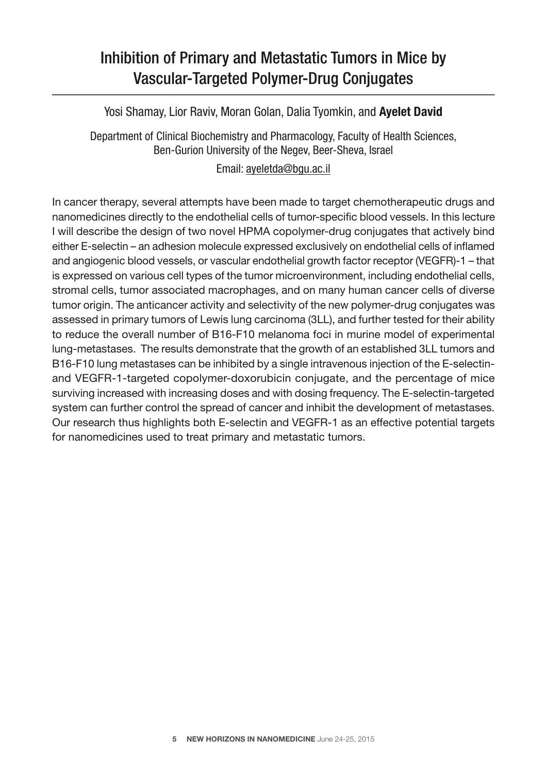# Inhibition of Primary and Metastatic Tumors in Mice by Vascular-Targeted Polymer-Drug Conjugates

### Yosi Shamay, Lior Raviv, Moran Golan, Dalia Tyomkin, and Ayelet David

Department of Clinical Biochemistry and Pharmacology, Faculty of Health Sciences, Ben-Gurion University of the Negev, Beer-Sheva, Israel

#### Email: ayeletda@bgu.ac.il

In cancer therapy, several attempts have been made to target chemotherapeutic drugs and nanomedicines directly to the endothelial cells of tumor-specific blood vessels. In this lecture I will describe the design of two novel HPMA copolymer-drug conjugates that actively bind either E-selectin – an adhesion molecule expressed exclusively on endothelial cells of inflamed and angiogenic blood vessels, or vascular endothelial growth factor receptor (VEGFR)-1 – that is expressed on various cell types of the tumor microenvironment, including endothelial cells, stromal cells, tumor associated macrophages, and on many human cancer cells of diverse tumor origin. The anticancer activity and selectivity of the new polymer-drug conjugates was assessed in primary tumors of Lewis lung carcinoma (3LL), and further tested for their ability to reduce the overall number of B16-F10 melanoma foci in murine model of experimental lung-metastases. The results demonstrate that the growth of an established 3LL tumors and B16-F10 lung metastases can be inhibited by a single intravenous injection of the E-selectinand VEGFR-1-targeted copolymer-doxorubicin conjugate, and the percentage of mice surviving increased with increasing doses and with dosing frequency. The E-selectin-targeted system can further control the spread of cancer and inhibit the development of metastases. Our research thus highlights both E-selectin and VEGFR-1 as an effective potential targets for nanomedicines used to treat primary and metastatic tumors.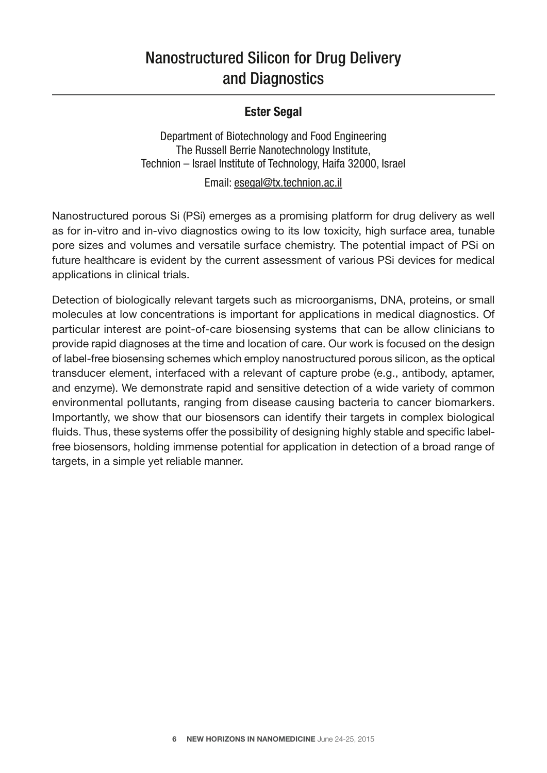# Nanostructured Silicon for Drug Delivery and Diagnostics

### Ester Segal

Department of Biotechnology and Food Engineering The Russell Berrie Nanotechnology Institute, Technion – Israel Institute of Technology, Haifa 32000, Israel

Email: esegal@tx.technion.ac.il

Nanostructured porous Si (PSi) emerges as a promising platform for drug delivery as well as for in-vitro and in-vivo diagnostics owing to its low toxicity, high surface area, tunable pore sizes and volumes and versatile surface chemistry. The potential impact of PSi on future healthcare is evident by the current assessment of various PSi devices for medical applications in clinical trials.

Detection of biologically relevant targets such as microorganisms, DNA, proteins, or small molecules at low concentrations is important for applications in medical diagnostics. Of particular interest are point-of-care biosensing systems that can be allow clinicians to provide rapid diagnoses at the time and location of care. Our work is focused on the design of label-free biosensing schemes which employ nanostructured porous silicon, as the optical transducer element, interfaced with a relevant of capture probe (e.g., antibody, aptamer, and enzyme). We demonstrate rapid and sensitive detection of a wide variety of common environmental pollutants, ranging from disease causing bacteria to cancer biomarkers. Importantly, we show that our biosensors can identify their targets in complex biological fluids. Thus, these systems offer the possibility of designing highly stable and specific labelfree biosensors, holding immense potential for application in detection of a broad range of targets, in a simple yet reliable manner.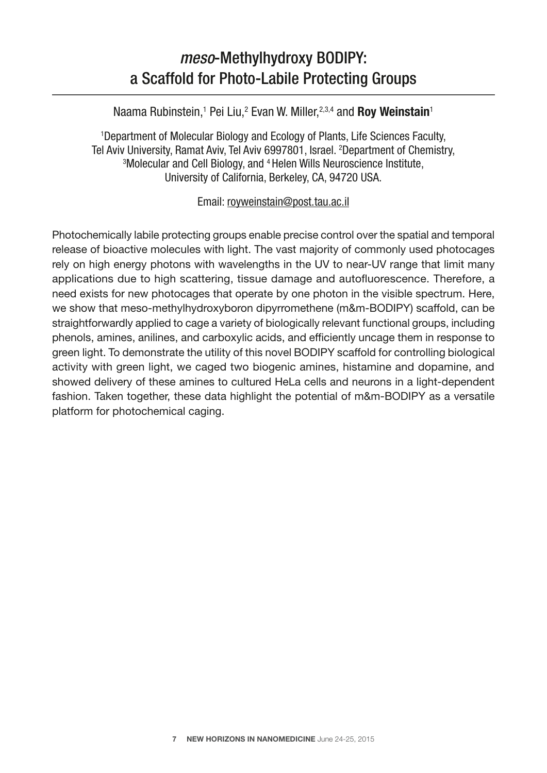### meso-Methylhydroxy BODIPY: a Scaffold for Photo-Labile Protecting Groups

#### Naama Rubinstein,<sup>1</sup> Pei Liu,<sup>2</sup> Evan W. Miller,<sup>2,3,4</sup> and **Roy Weinstain**<sup>1</sup>

<sup>1</sup>Department of Molecular Biology and Ecology of Plants, Life Sciences Faculty, Tel Aviv University, Ramat Aviv, Tel Aviv 6997801, Israel. <sup>2</sup>Department of Chemistry, <sup>3</sup>Molecular and Cell Biology, and <sup>4</sup> Helen Wills Neuroscience Institute, University of California, Berkeley, CA, 94720 USA.

#### Email: royweinstain@post.tau.ac.il

Photochemically labile protecting groups enable precise control over the spatial and temporal release of bioactive molecules with light. The vast majority of commonly used photocages rely on high energy photons with wavelengths in the UV to near-UV range that limit many applications due to high scattering, tissue damage and autofluorescence. Therefore, a need exists for new photocages that operate by one photon in the visible spectrum. Here, we show that meso-methylhydroxyboron dipyrromethene (m&m-BODIPY) scaffold, can be straightforwardly applied to cage a variety of biologically relevant functional groups, including phenols, amines, anilines, and carboxylic acids, and efficiently uncage them in response to green light. To demonstrate the utility of this novel BODIPY scaffold for controlling biological activity with green light, we caged two biogenic amines, histamine and dopamine, and showed delivery of these amines to cultured HeLa cells and neurons in a light-dependent fashion. Taken together, these data highlight the potential of m&m-BODIPY as a versatile platform for photochemical caging.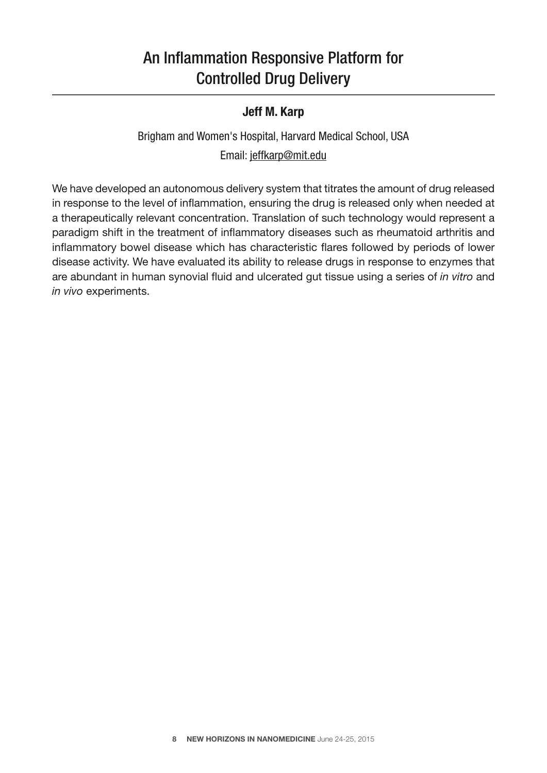# An Inflammation Responsive Platform for Controlled Drug Delivery

### Jeff M. Karp

Brigham and Women's Hospital, Harvard Medical School, USA Email: jeffkarp@mit.edu

We have developed an autonomous delivery system that titrates the amount of drug released in response to the level of inflammation, ensuring the drug is released only when needed at a therapeutically relevant concentration. Translation of such technology would represent a paradigm shift in the treatment of inflammatory diseases such as rheumatoid arthritis and inflammatory bowel disease which has characteristic flares followed by periods of lower disease activity. We have evaluated its ability to release drugs in response to enzymes that are abundant in human synovial fluid and ulcerated gut tissue using a series of in vitro and in vivo experiments.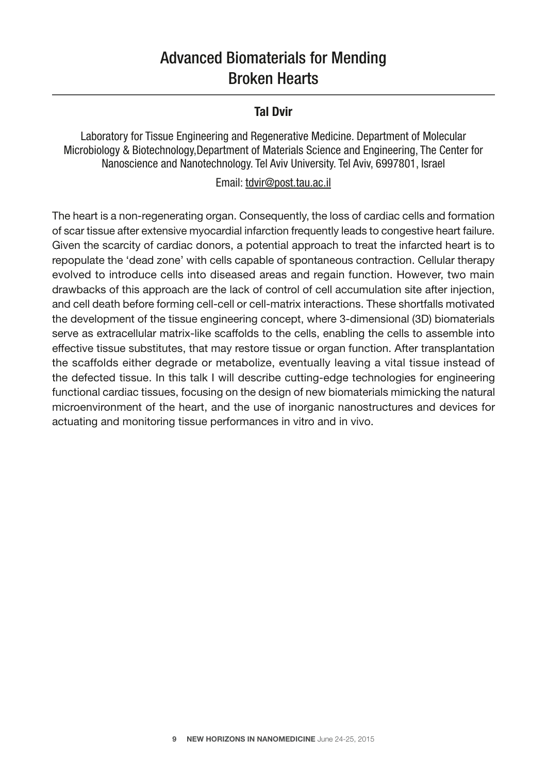# Advanced Biomaterials for Mending Broken Hearts

#### Tal Dvir

Laboratory for Tissue Engineering and Regenerative Medicine. Department of Molecular Microbiology & Biotechnology,Department of Materials Science and Engineering, The Center for Nanoscience and Nanotechnology. Tel Aviv University. Tel Aviv, 6997801, Israel

#### Email: tdvir@post.tau.ac.il

The heart is a non-regenerating organ. Consequently, the loss of cardiac cells and formation of scar tissue after extensive myocardial infarction frequently leads to congestive heart failure. Given the scarcity of cardiac donors, a potential approach to treat the infarcted heart is to repopulate the 'dead zone' with cells capable of spontaneous contraction. Cellular therapy evolved to introduce cells into diseased areas and regain function. However, two main drawbacks of this approach are the lack of control of cell accumulation site after injection, and cell death before forming cell-cell or cell-matrix interactions. These shortfalls motivated the development of the tissue engineering concept, where 3-dimensional (3D) biomaterials serve as extracellular matrix-like scaffolds to the cells, enabling the cells to assemble into effective tissue substitutes, that may restore tissue or organ function. After transplantation the scaffolds either degrade or metabolize, eventually leaving a vital tissue instead of the defected tissue. In this talk I will describe cutting-edge technologies for engineering functional cardiac tissues, focusing on the design of new biomaterials mimicking the natural microenvironment of the heart, and the use of inorganic nanostructures and devices for actuating and monitoring tissue performances in vitro and in vivo.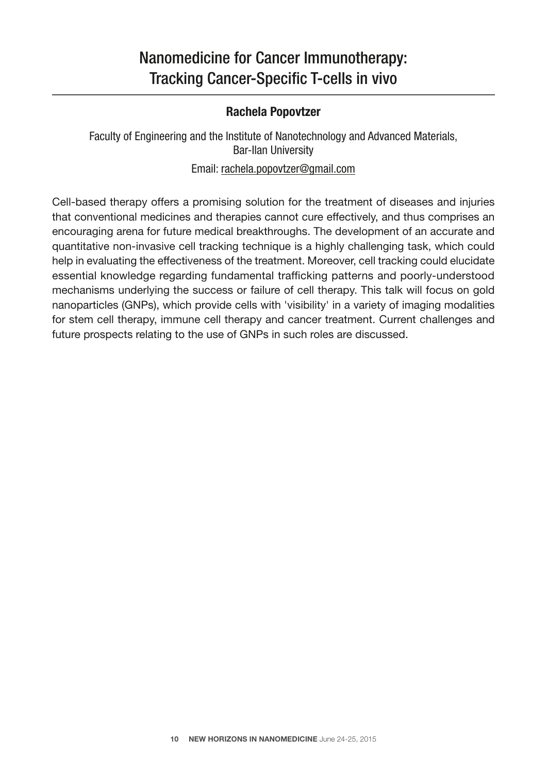# Nanomedicine for Cancer Immunotherapy: Tracking Cancer-Specific T-cells in vivo

### Rachela Popovtzer

Faculty of Engineering and the Institute of Nanotechnology and Advanced Materials, Bar-Ilan University

#### Email: rachela.popovtzer@gmail.com

Cell-based therapy offers a promising solution for the treatment of diseases and injuries that conventional medicines and therapies cannot cure effectively, and thus comprises an encouraging arena for future medical breakthroughs. The development of an accurate and quantitative non-invasive cell tracking technique is a highly challenging task, which could help in evaluating the effectiveness of the treatment. Moreover, cell tracking could elucidate essential knowledge regarding fundamental trafficking patterns and poorly-understood mechanisms underlying the success or failure of cell therapy. This talk will focus on gold nanoparticles (GNPs), which provide cells with 'visibility' in a variety of imaging modalities for stem cell therapy, immune cell therapy and cancer treatment. Current challenges and future prospects relating to the use of GNPs in such roles are discussed.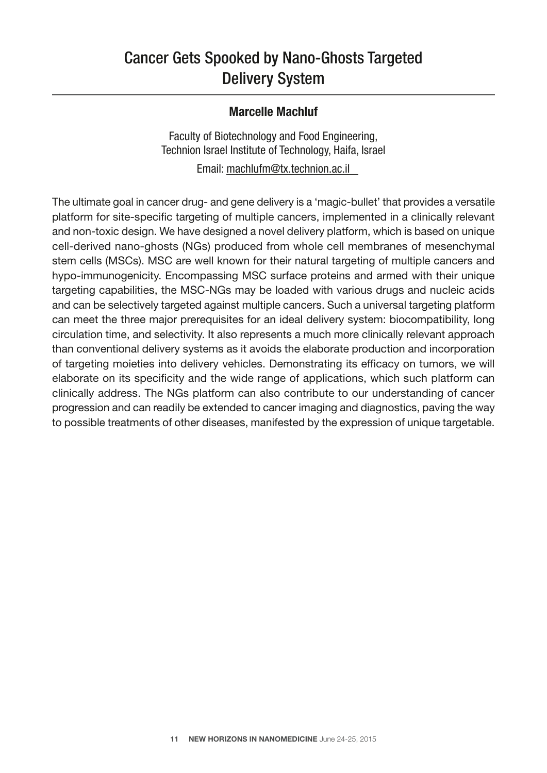# Cancer Gets Spooked by Nano-Ghosts Targeted Delivery System

#### Marcelle Machluf

Faculty of Biotechnology and Food Engineering, Technion Israel Institute of Technology, Haifa, Israel

Email: machlufm@tx.technion.ac.il

The ultimate goal in cancer drug- and gene delivery is a 'magic-bullet' that provides a versatile platform for site-specific targeting of multiple cancers, implemented in a clinically relevant and non-toxic design. We have designed a novel delivery platform, which is based on unique cell-derived nano-ghosts (NGs) produced from whole cell membranes of mesenchymal stem cells (MSCs). MSC are well known for their natural targeting of multiple cancers and hypo-immunogenicity. Encompassing MSC surface proteins and armed with their unique targeting capabilities, the MSC-NGs may be loaded with various drugs and nucleic acids and can be selectively targeted against multiple cancers. Such a universal targeting platform can meet the three major prerequisites for an ideal delivery system: biocompatibility, long circulation time, and selectivity. It also represents a much more clinically relevant approach than conventional delivery systems as it avoids the elaborate production and incorporation of targeting moieties into delivery vehicles. Demonstrating its efficacy on tumors, we will elaborate on its specificity and the wide range of applications, which such platform can clinically address. The NGs platform can also contribute to our understanding of cancer progression and can readily be extended to cancer imaging and diagnostics, paving the way to possible treatments of other diseases, manifested by the expression of unique targetable.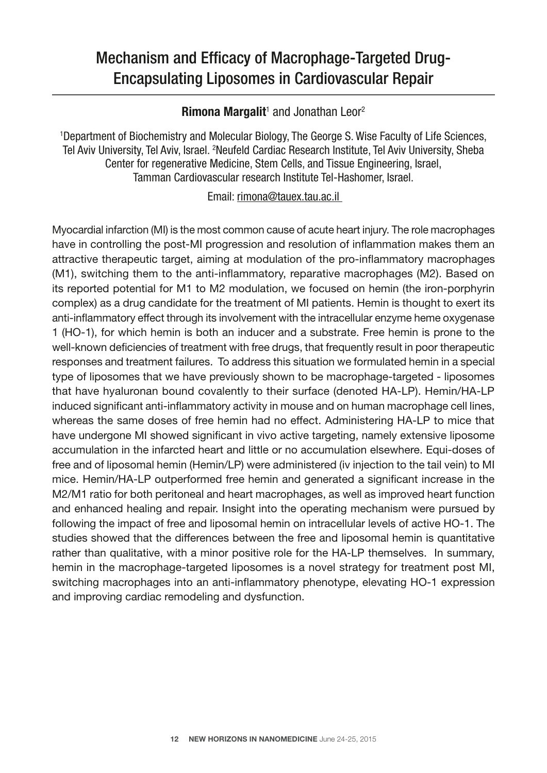# Mechanism and Efficacy of Macrophage-Targeted Drug-Encapsulating Liposomes in Cardiovascular Repair

#### Rimona Margalit<sup>1</sup> and Jonathan Leor<sup>2</sup>

<sup>1</sup>Department of Biochemistry and Molecular Biology, The George S. Wise Faculty of Life Sciences, Tel Aviv University, Tel Aviv, Israel. <sup>2</sup>Neufeld Cardiac Research Institute, Tel Aviv University, Sheba Center for regenerative Medicine, Stem Cells, and Tissue Engineering, Israel, Tamman Cardiovascular research Institute Tel-Hashomer, Israel.

#### Email: rimona@tauex.tau.ac.il

Myocardial infarction (MI) is the most common cause of acute heart injury. The role macrophages have in controlling the post-MI progression and resolution of inflammation makes them an attractive therapeutic target, aiming at modulation of the pro-inflammatory macrophages (M1), switching them to the anti-inflammatory, reparative macrophages (M2). Based on its reported potential for M1 to M2 modulation, we focused on hemin (the iron-porphyrin complex) as a drug candidate for the treatment of MI patients. Hemin is thought to exert its anti-inflammatory effect through its involvement with the intracellular enzyme heme oxygenase 1 (HO-1), for which hemin is both an inducer and a substrate. Free hemin is prone to the well-known deficiencies of treatment with free drugs, that frequently result in poor therapeutic responses and treatment failures. To address this situation we formulated hemin in a special type of liposomes that we have previously shown to be macrophage-targeted - liposomes that have hyaluronan bound covalently to their surface (denoted HA-LP). Hemin/HA-LP induced significant anti-inflammatory activity in mouse and on human macrophage cell lines, whereas the same doses of free hemin had no effect. Administering HA-LP to mice that have undergone MI showed significant in vivo active targeting, namely extensive liposome accumulation in the infarcted heart and little or no accumulation elsewhere. Equi-doses of free and of liposomal hemin (Hemin/LP) were administered (iv injection to the tail vein) to MI mice. Hemin/HA-LP outperformed free hemin and generated a significant increase in the M2/M1 ratio for both peritoneal and heart macrophages, as well as improved heart function and enhanced healing and repair. Insight into the operating mechanism were pursued by following the impact of free and liposomal hemin on intracellular levels of active HO-1. The studies showed that the differences between the free and liposomal hemin is quantitative rather than qualitative, with a minor positive role for the HA-LP themselves. In summary, hemin in the macrophage-targeted liposomes is a novel strategy for treatment post MI, switching macrophages into an anti-inflammatory phenotype, elevating HO-1 expression and improving cardiac remodeling and dysfunction.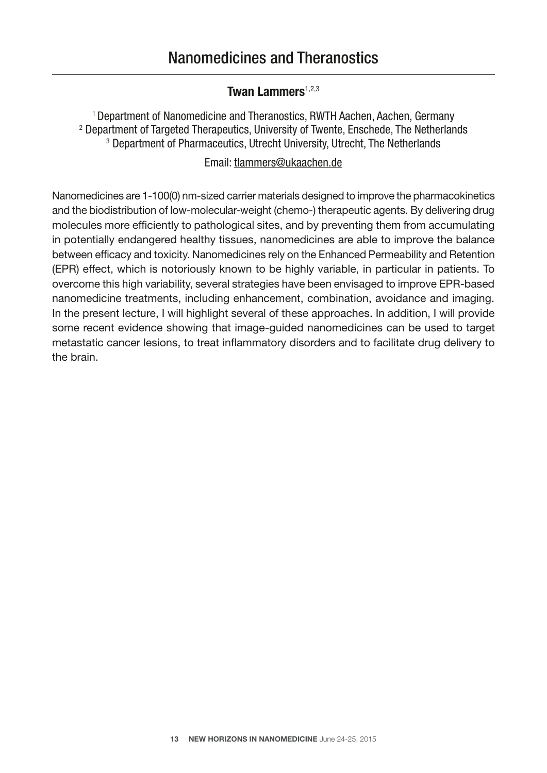### Twan Lammers<sup>1,2,3</sup>

<sup>1</sup> Department of Nanomedicine and Theranostics, RWTH Aachen, Aachen, Germany 2 Department of Targeted Therapeutics, University of Twente, Enschede, The Netherlands 3 Department of Pharmaceutics, Utrecht University, Utrecht, The Netherlands

#### Email: tlammers@ukaachen.de

Nanomedicines are 1-100(0) nm-sized carrier materials designed to improve the pharmacokinetics and the biodistribution of low-molecular-weight (chemo-) therapeutic agents. By delivering drug molecules more efficiently to pathological sites, and by preventing them from accumulating in potentially endangered healthy tissues, nanomedicines are able to improve the balance between efficacy and toxicity. Nanomedicines rely on the Enhanced Permeability and Retention (EPR) effect, which is notoriously known to be highly variable, in particular in patients. To overcome this high variability, several strategies have been envisaged to improve EPR-based nanomedicine treatments, including enhancement, combination, avoidance and imaging. In the present lecture, I will highlight several of these approaches. In addition, I will provide some recent evidence showing that image-guided nanomedicines can be used to target metastatic cancer lesions, to treat inflammatory disorders and to facilitate drug delivery to the brain.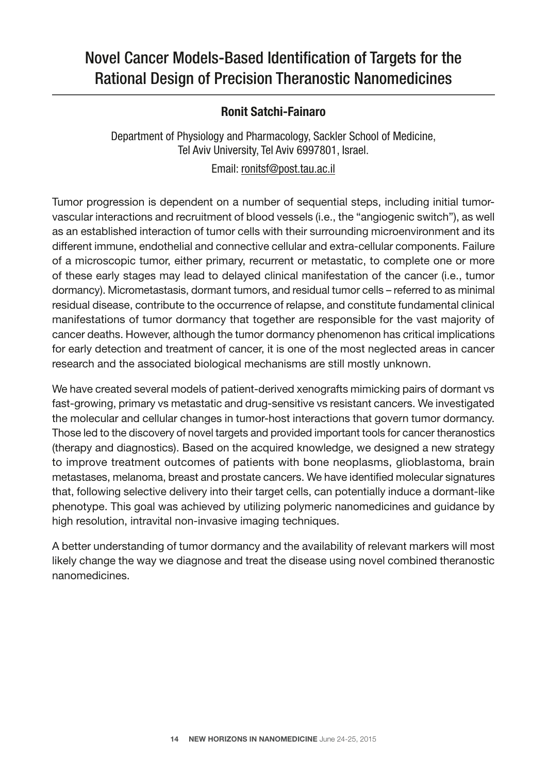# Novel Cancer Models-Based Identification of Targets for the Rational Design of Precision Theranostic Nanomedicines

### Ronit Satchi-Fainaro

Department of Physiology and Pharmacology, Sackler School of Medicine, Tel Aviv University, Tel Aviv 6997801, Israel.

Email: ronitsf@post.tau.ac.il

Tumor progression is dependent on a number of sequential steps, including initial tumorvascular interactions and recruitment of blood vessels (i.e., the "angiogenic switch"), as well as an established interaction of tumor cells with their surrounding microenvironment and its different immune, endothelial and connective cellular and extra-cellular components. Failure of a microscopic tumor, either primary, recurrent or metastatic, to complete one or more of these early stages may lead to delayed clinical manifestation of the cancer (i.e., tumor dormancy). Micrometastasis, dormant tumors, and residual tumor cells – referred to as minimal residual disease, contribute to the occurrence of relapse, and constitute fundamental clinical manifestations of tumor dormancy that together are responsible for the vast majority of cancer deaths. However, although the tumor dormancy phenomenon has critical implications for early detection and treatment of cancer, it is one of the most neglected areas in cancer research and the associated biological mechanisms are still mostly unknown.

We have created several models of patient-derived xenografts mimicking pairs of dormant vs fast-growing, primary vs metastatic and drug-sensitive vs resistant cancers. We investigated the molecular and cellular changes in tumor-host interactions that govern tumor dormancy. Those led to the discovery of novel targets and provided important tools for cancer theranostics (therapy and diagnostics). Based on the acquired knowledge, we designed a new strategy to improve treatment outcomes of patients with bone neoplasms, glioblastoma, brain metastases, melanoma, breast and prostate cancers. We have identified molecular signatures that, following selective delivery into their target cells, can potentially induce a dormant-like phenotype. This goal was achieved by utilizing polymeric nanomedicines and guidance by high resolution, intravital non-invasive imaging techniques.

A better understanding of tumor dormancy and the availability of relevant markers will most likely change the way we diagnose and treat the disease using novel combined theranostic nanomedicines.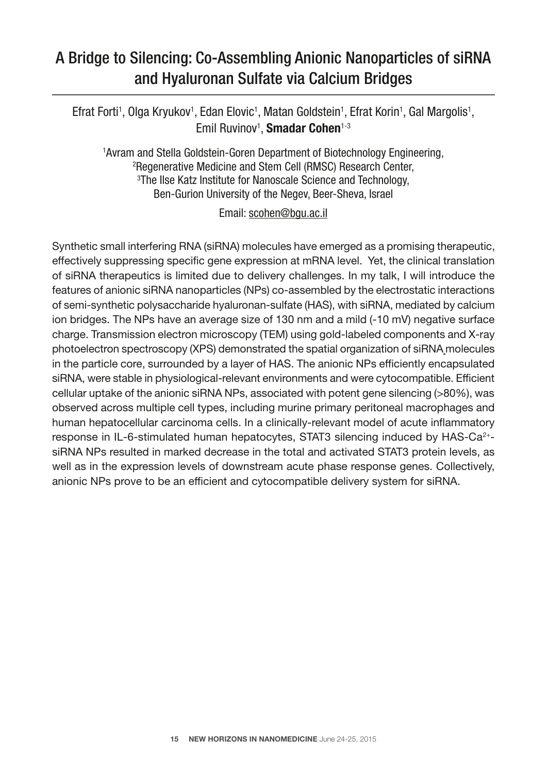# A Bridge to Silencing: Co-Assembling Anionic Nanoparticles of siRNA and Hyaluronan Sulfate via Calcium Bridges

### Efrat Forti<sup>1</sup>, Olga Kryukov<sup>1</sup>, Edan Elovic<sup>1</sup>, Matan Goldstein<sup>1</sup>, Efrat Korin<sup>1</sup>, Gal Margolis<sup>1</sup>, Emil Ruvinov<sup>1</sup>, **Smadar Cohen**<sup>1-3</sup>

Avram and Stella Goldstein-Goren Department of Biotechnology Engineering, Regenerative Medicine and Stem Cell (RMSC) Research Center, The Ilse Katz Institute for Nanoscale Science and Technology, Ben-Gurion University of the Negev, Beer-Sheva, Israel

Email: scohen@bgu.ac.il

Synthetic small interfering RNA (siRNA) molecules have emerged as a promising therapeutic, effectively suppressing specific gene expression at mRNA level. Yet, the clinical translation of siRNA therapeutics is limited due to delivery challenges. In my talk, I will introduce the features of anionic siRNA nanoparticles (NPs) co-assembled by the electrostatic interactions of semi-synthetic polysaccharide hyaluronan-sulfate (HAS), with siRNA, mediated by calcium ion bridges. The NPs have an average size of 130 nm and a mild (-10 mV) negative surface charge. Transmission electron microscopy (TEM) using gold-labeled components and X-ray photoelectron spectroscopy (XPS) demonstrated the spatial organization of siRNA molecules in the particle core, surrounded by a layer of HAS. The anionic NPs efficiently encapsulated siRNA, were stable in physiological-relevant environments and were cytocompatible. Efficient cellular uptake of the anionic siRNA NPs, associated with potent gene silencing (>80%), was observed across multiple cell types, including murine primary peritoneal macrophages and human hepatocellular carcinoma cells. In a clinically-relevant model of acute inflammatory response in IL-6-stimulated human hepatocytes, STAT3 silencing induced by HAS-Ca<sup>2+</sup>siRNA NPs resulted in marked decrease in the total and activated STAT3 protein levels, as well as in the expression levels of downstream acute phase response genes. Collectively, anionic NPs prove to be an efficient and cytocompatible delivery system for siRNA.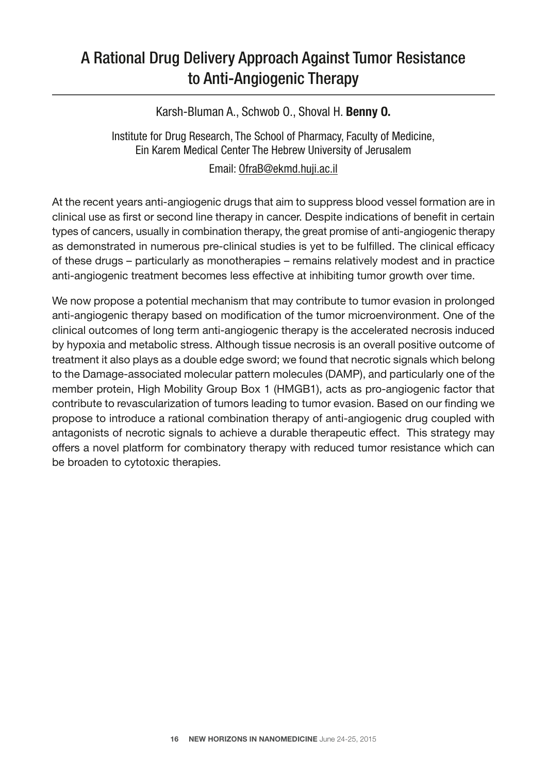# A Rational Drug Delivery Approach Against Tumor Resistance to Anti-Angiogenic Therapy

#### Karsh-Bluman A., Schwob O., Shoval H. Benny O.

Institute for Drug Research, The School of Pharmacy, Faculty of Medicine, Ein Karem Medical Center The Hebrew University of Jerusalem

#### Email: OfraB@ekmd.huji.ac.il

At the recent years anti-angiogenic drugs that aim to suppress blood vessel formation are in clinical use as first or second line therapy in cancer. Despite indications of benefit in certain types of cancers, usually in combination therapy, the great promise of anti-angiogenic therapy as demonstrated in numerous pre-clinical studies is yet to be fulfilled. The clinical efficacy of these drugs – particularly as monotherapies – remains relatively modest and in practice anti-angiogenic treatment becomes less effective at inhibiting tumor growth over time.

We now propose a potential mechanism that may contribute to tumor evasion in prolonged anti-angiogenic therapy based on modification of the tumor microenvironment. One of the clinical outcomes of long term anti-angiogenic therapy is the accelerated necrosis induced by hypoxia and metabolic stress. Although tissue necrosis is an overall positive outcome of treatment it also plays as a double edge sword; we found that necrotic signals which belong to the Damage-associated molecular pattern molecules (DAMP), and particularly one of the member protein, High Mobility Group Box 1 (HMGB1), acts as pro-angiogenic factor that contribute to revascularization of tumors leading to tumor evasion. Based on our finding we propose to introduce a rational combination therapy of anti-angiogenic drug coupled with antagonists of necrotic signals to achieve a durable therapeutic effect. This strategy may offers a novel platform for combinatory therapy with reduced tumor resistance which can be broaden to cytotoxic therapies.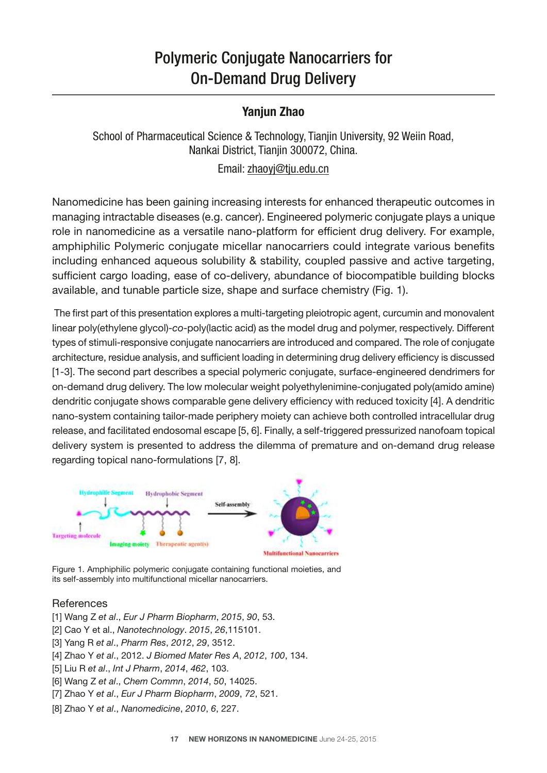# Polymeric Conjugate Nanocarriers for On-Demand Drug Delivery

#### Yanjun Zhao

School of Pharmaceutical Science & Technology, Tianjin University, 92 Weiin Road, Nankai District, Tianjin 300072, China.

Email: zhaoyj@tju.edu.cn

Nanomedicine has been gaining increasing interests for enhanced therapeutic outcomes in managing intractable diseases (e.g. cancer). Engineered polymeric conjugate plays a unique role in nanomedicine as a versatile nano-platform for efficient drug delivery. For example, amphiphilic Polymeric conjugate micellar nanocarriers could integrate various benefits including enhanced aqueous solubility & stability, coupled passive and active targeting, sufficient cargo loading, ease of co-delivery, abundance of biocompatible building blocks available, and tunable particle size, shape and surface chemistry (Fig. 1).

 The first part of this presentation explores a multi-targeting pleiotropic agent, curcumin and monovalent linear poly(ethylene glycol)-co-poly(lactic acid) as the model drug and polymer, respectively. Different types of stimuli-responsive conjugate nanocarriers are introduced and compared. The role of conjugate architecture, residue analysis, and sufficient loading in determining drug delivery efficiency is discussed [1-3]. The second part describes a special polymeric conjugate, surface-engineered dendrimers for on-demand drug delivery. The low molecular weight polyethylenimine-conjugated poly(amido amine) dendritic conjugate shows comparable gene delivery efficiency with reduced toxicity [4]. A dendritic nano-system containing tailor-made periphery moiety can achieve both controlled intracellular drug release, and facilitated endosomal escape [5, 6]. Finally, a self-triggered pressurized nanofoam topical delivery system is presented to address the dilemma of premature and on-demand drug release regarding topical nano-formulations [7, 8].



Figure 1. Amphiphilic polymeric conjugate containing functional moieties, and its self-assembly into multifunctional micellar nanocarriers.

#### **References**

[1] Wang Z et al., Eur J Pharm Biopharm, 2015, 90, 53.

- [2] Cao Y et al., Nanotechnology. 2015, 26,115101.
- [3] Yang R et al., Pharm Res, 2012, 29, 3512.
- [4] Zhao Y et al., 2012. J Biomed Mater Res A, 2012, 100, 134.
- [5] Liu R et al., Int J Pharm, 2014, 462, 103.
- [6] Wang Z et al., Chem Commn, 2014, 50, 14025.
- [7] Zhao Y et al., Eur J Pharm Biopharm, 2009, 72, 521.
- [8] Zhao Y et al., Nanomedicine, 2010, 6, 227.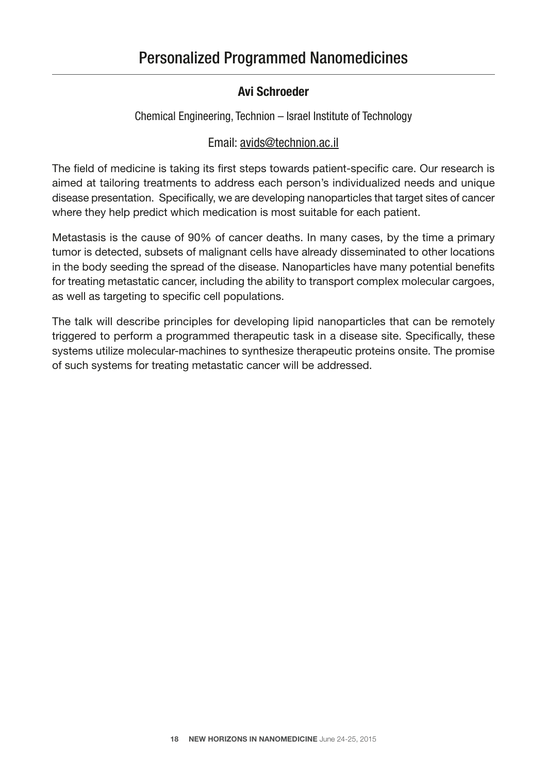### Personalized Programmed Nanomedicines

#### Avi Schroeder

Chemical Engineering, Technion – Israel Institute of Technology

#### Email: avids@technion.ac.il

The field of medicine is taking its first steps towards patient-specific care. Our research is aimed at tailoring treatments to address each person's individualized needs and unique disease presentation. Specifically, we are developing nanoparticles that target sites of cancer where they help predict which medication is most suitable for each patient.

Metastasis is the cause of 90% of cancer deaths. In many cases, by the time a primary tumor is detected, subsets of malignant cells have already disseminated to other locations in the body seeding the spread of the disease. Nanoparticles have many potential benefits for treating metastatic cancer, including the ability to transport complex molecular cargoes, as well as targeting to specific cell populations.

The talk will describe principles for developing lipid nanoparticles that can be remotely triggered to perform a programmed therapeutic task in a disease site. Specifically, these systems utilize molecular-machines to synthesize therapeutic proteins onsite. The promise of such systems for treating metastatic cancer will be addressed.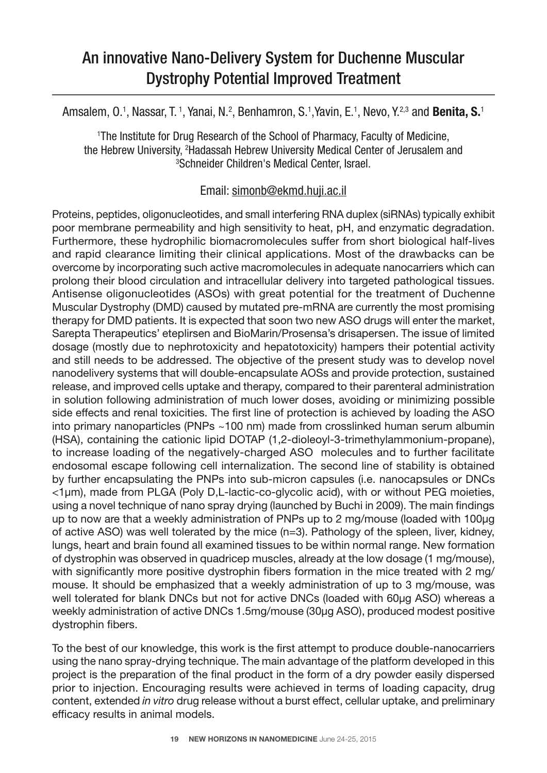# An innovative Nano-Delivery System for Duchenne Muscular Dystrophy Potential Improved Treatment

Amsalem, O.1, Nassar, T.1, Yanai, N.<sup>2</sup>, Benhamron, S.1,Yavin, E.1, Nevo, Y.<sup>2,3</sup> and **Benita, S.**1

<sup>1</sup>The Institute for Drug Research of the School of Pharmacy, Faculty of Medicine, the Hebrew University, <sup>2</sup>Hadassah Hebrew University Medical Center of Jerusalem and <sup>3</sup>Schneider Children's Medical Center, Israel.

#### Email: simonb@ekmd.huji.ac.il

Proteins, peptides, oligonucleotides, and small interfering RNA duplex (siRNAs) typically exhibit poor membrane permeability and high sensitivity to heat, pH, and enzymatic degradation. Furthermore, these hydrophilic biomacromolecules suffer from short biological half-lives and rapid clearance limiting their clinical applications. Most of the drawbacks can be overcome by incorporating such active macromolecules in adequate nanocarriers which can prolong their blood circulation and intracellular delivery into targeted pathological tissues. Antisense oligonucleotides (ASOs) with great potential for the treatment of Duchenne Muscular Dystrophy (DMD) caused by mutated pre-mRNA are currently the most promising therapy for DMD patients. It is expected that soon two new ASO drugs will enter the market, Sarepta Therapeutics' eteplirsen and BioMarin/Prosensa's drisapersen. The issue of limited dosage (mostly due to nephrotoxicity and hepatotoxicity) hampers their potential activity and still needs to be addressed. The objective of the present study was to develop novel nanodelivery systems that will double-encapsulate AOSs and provide protection, sustained release, and improved cells uptake and therapy, compared to their parenteral administration in solution following administration of much lower doses, avoiding or minimizing possible side effects and renal toxicities. The first line of protection is achieved by loading the ASO into primary nanoparticles (PNPs ~100 nm) made from crosslinked human serum albumin (HSA), containing the cationic lipid DOTAP (1,2-dioleoyl-3-trimethylammonium-propane), to increase loading of the negatively-charged ASO molecules and to further facilitate endosomal escape following cell internalization. The second line of stability is obtained by further encapsulating the PNPs into sub-micron capsules (i.e. nanocapsules or DNCs <1µm), made from PLGA (Poly D,L-lactic-co-glycolic acid), with or without PEG moieties, using a novel technique of nano spray drying (launched by Buchi in 2009). The main findings up to now are that a weekly administration of PNPs up to 2 mg/mouse (loaded with 100µg of active ASO) was well tolerated by the mice (n=3). Pathology of the spleen, liver, kidney, lungs, heart and brain found all examined tissues to be within normal range. New formation of dystrophin was observed in quadricep muscles, already at the low dosage (1 mg/mouse), with significantly more positive dystrophin fibers formation in the mice treated with 2 mg/ mouse. It should be emphasized that a weekly administration of up to 3 mg/mouse, was well tolerated for blank DNCs but not for active DNCs (loaded with 60µg ASO) whereas a weekly administration of active DNCs 1.5mg/mouse (30µg ASO), produced modest positive dystrophin fibers.

To the best of our knowledge, this work is the first attempt to produce double-nanocarriers using the nano spray-drying technique. The main advantage of the platform developed in this project is the preparation of the final product in the form of a dry powder easily dispersed prior to injection. Encouraging results were achieved in terms of loading capacity, drug content, extended in vitro drug release without a burst effect, cellular uptake, and preliminary efficacy results in animal models.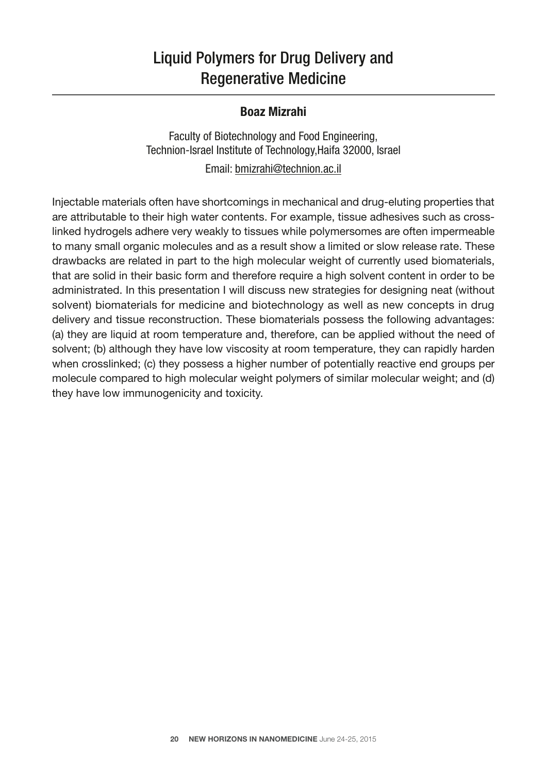# Liquid Polymers for Drug Delivery and Regenerative Medicine

#### Boaz Mizrahi

Faculty of Biotechnology and Food Engineering, Technion-Israel Institute of Technology,Haifa 32000, Israel

Email: bmizrahi@technion.ac.il

Injectable materials often have shortcomings in mechanical and drug-eluting properties that are attributable to their high water contents. For example, tissue adhesives such as crosslinked hydrogels adhere very weakly to tissues while polymersomes are often impermeable to many small organic molecules and as a result show a limited or slow release rate. These drawbacks are related in part to the high molecular weight of currently used biomaterials, that are solid in their basic form and therefore require a high solvent content in order to be administrated. In this presentation I will discuss new strategies for designing neat (without solvent) biomaterials for medicine and biotechnology as well as new concepts in drug delivery and tissue reconstruction. These biomaterials possess the following advantages: (a) they are liquid at room temperature and, therefore, can be applied without the need of solvent; (b) although they have low viscosity at room temperature, they can rapidly harden when crosslinked; (c) they possess a higher number of potentially reactive end groups per molecule compared to high molecular weight polymers of similar molecular weight; and (d) they have low immunogenicity and toxicity.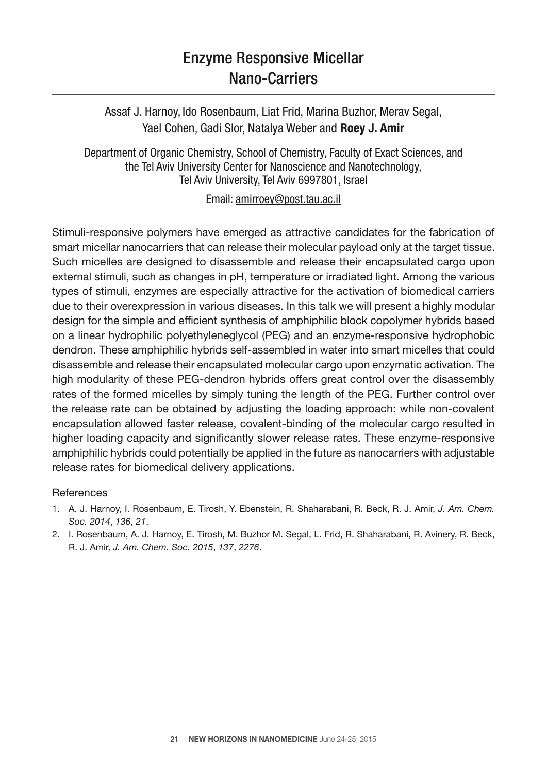### Enzyme Responsive Micellar Nano-Carriers

### Assaf J. Harnoy, Ido Rosenbaum, Liat Frid, Marina Buzhor, Merav Segal, Yael Cohen, Gadi Slor, Natalya Weber and Roey J. Amir

Department of Organic Chemistry, School of Chemistry, Faculty of Exact Sciences, and the Tel Aviv University Center for Nanoscience and Nanotechnology, Tel Aviv University, Tel Aviv 6997801, Israel

Email: amirroey@post.tau.ac.il

Stimuli-responsive polymers have emerged as attractive candidates for the fabrication of smart micellar nanocarriers that can release their molecular payload only at the target tissue. Such micelles are designed to disassemble and release their encapsulated cargo upon external stimuli, such as changes in pH, temperature or irradiated light. Among the various types of stimuli, enzymes are especially attractive for the activation of biomedical carriers due to their overexpression in various diseases. In this talk we will present a highly modular design for the simple and efficient synthesis of amphiphilic block copolymer hybrids based on a linear hydrophilic polyethyleneglycol (PEG) and an enzyme-responsive hydrophobic dendron. These amphiphilic hybrids self-assembled in water into smart micelles that could disassemble and release their encapsulated molecular cargo upon enzymatic activation. The high modularity of these PEG-dendron hybrids offers great control over the disassembly rates of the formed micelles by simply tuning the length of the PEG. Further control over the release rate can be obtained by adjusting the loading approach: while non-covalent encapsulation allowed faster release, covalent-binding of the molecular cargo resulted in higher loading capacity and significantly slower release rates. These enzyme-responsive amphiphilic hybrids could potentially be applied in the future as nanocarriers with adjustable release rates for biomedical delivery applications.

#### References

- 1. A. J. Harnoy, I. Rosenbaum, E. Tirosh, Y. Ebenstein, R. Shaharabani, R. Beck, R. J. Amir, J. Am. Chem. Soc. 2014, 136, 21.
- 2. I. Rosenbaum, A. J. Harnoy, E. Tirosh, M. Buzhor M. Segal, L. Frid, R. Shaharabani, R. Avinery, R. Beck, R. J. Amir, J. Am. Chem. Soc. 2015, 137, 2276.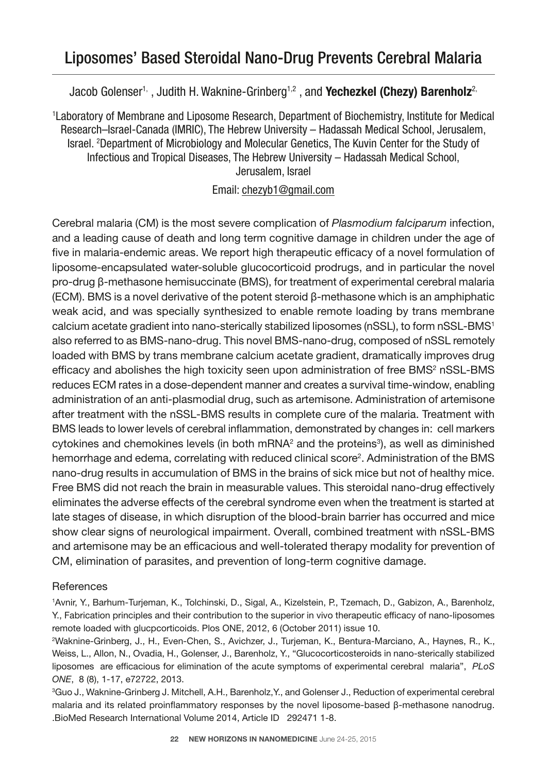Jacob Golenser<sup>1,</sup>, Judith H. Waknine-Grinberg<sup>1,2</sup>, and **Yechezkel (Chezy) Barenholz**<sup>2,</sup>

<sup>1</sup>Laboratory of Membrane and Liposome Research, Department of Biochemistry, Institute for Medical Research–Israel-Canada (IMRIC), The Hebrew University – Hadassah Medical School, Jerusalem, Israel. <sup>2</sup>Department of Microbiology and Molecular Genetics, The Kuvin Center for the Study of Infectious and Tropical Diseases, The Hebrew University – Hadassah Medical School, Jerusalem, Israel

Email: chezyb1@gmail.com

Cerebral malaria (CM) is the most severe complication of Plasmodium falciparum infection, and a leading cause of death and long term cognitive damage in children under the age of five in malaria-endemic areas. We report high therapeutic efficacy of a novel formulation of liposome-encapsulated water-soluble glucocorticoid prodrugs, and in particular the novel pro-drug β-methasone hemisuccinate (BMS), for treatment of experimental cerebral malaria (ECM). BMS is a novel derivative of the potent steroid β-methasone which is an amphiphatic weak acid, and was specially synthesized to enable remote loading by trans membrane calcium acetate gradient into nano-sterically stabilized liposomes (nSSL), to form nSSL-BMS<sup>1</sup> also referred to as BMS-nano-drug. This novel BMS-nano-drug, composed of nSSL remotely loaded with BMS by trans membrane calcium acetate gradient, dramatically improves drug efficacy and abolishes the high toxicity seen upon administration of free BMS $2$  nSSL-BMS reduces ECM rates in a dose-dependent manner and creates a survival time-window, enabling administration of an anti-plasmodial drug, such as artemisone. Administration of artemisone after treatment with the nSSL-BMS results in complete cure of the malaria. Treatment with BMS leads to lower levels of cerebral inflammation, demonstrated by changes in: cell markers cytokines and chemokines levels (in both mRNA<sup>2</sup> and the proteins<sup>3</sup>), as well as diminished hemorrhage and edema, correlating with reduced clinical score<sup>2</sup>. Administration of the BMS nano-drug results in accumulation of BMS in the brains of sick mice but not of healthy mice. Free BMS did not reach the brain in measurable values. This steroidal nano-drug effectively eliminates the adverse effects of the cerebral syndrome even when the treatment is started at late stages of disease, in which disruption of the blood-brain barrier has occurred and mice show clear signs of neurological impairment. Overall, combined treatment with nSSL-BMS and artemisone may be an efficacious and well-tolerated therapy modality for prevention of CM, elimination of parasites, and prevention of long-term cognitive damage.

#### **References**

<sup>1</sup>Avnir, Y., Barhum-Turjeman, K., Tolchinski, D., Sigal, A., Kizelstein, P., Tzemach, D., Gabizon, A., Barenholz, Y., Fabrication principles and their contribution to the superior in vivo therapeutic efficacy of nano-liposomes remote loaded with glucpcorticoids. Plos ONE, 2012, 6 (October 2011) issue 10.

<sup>2</sup>Waknine-Grinberg, J., H., Even-Chen, S., Avichzer, J., Turjeman, K., Bentura-Marciano, A., Haynes, R., K., Weiss, L., Allon, N., Ovadia, H., Golenser, J., Barenholz, Y., "Glucocorticosteroids in nano-sterically stabilized liposomes are efficacious for elimination of the acute symptoms of experimental cerebral malaria", PLoS ONE, 8 (8), 1-17, e72722, 2013.

<sup>3</sup>Guo J., Waknine-Grinberg J. Mitchell, A.H., Barenholz, Y., and Golenser J., Reduction of experimental cerebral malaria and its related proinflammatory responses by the novel liposome-based β-methasone nanodrug. .BioMed Research International Volume 2014, Article ID 292471 1-8.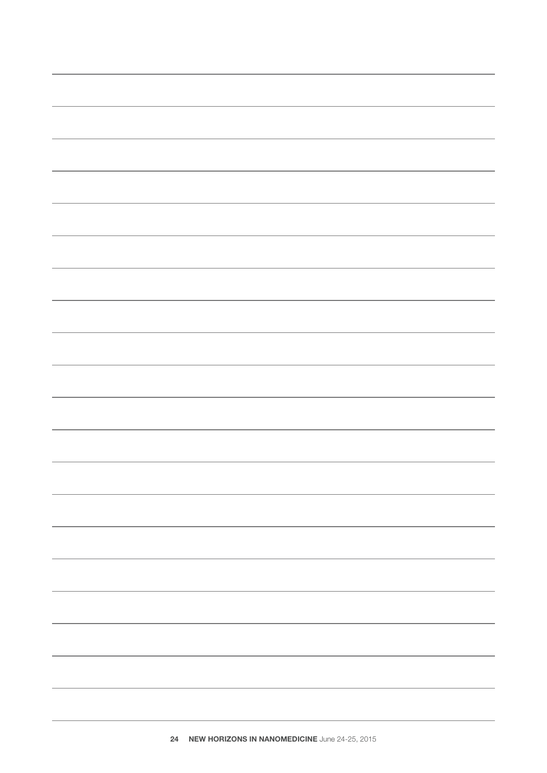| ,我们也不会有什么?""我们的人,我们也不会有什么?""我们的人,我们也不会有什么?""我们的人,我们也不会有什么?""我们的人,我们也不会有什么?""我们的人 |  |
|----------------------------------------------------------------------------------|--|
|                                                                                  |  |
|                                                                                  |  |
|                                                                                  |  |
|                                                                                  |  |
|                                                                                  |  |
|                                                                                  |  |
|                                                                                  |  |
|                                                                                  |  |
|                                                                                  |  |